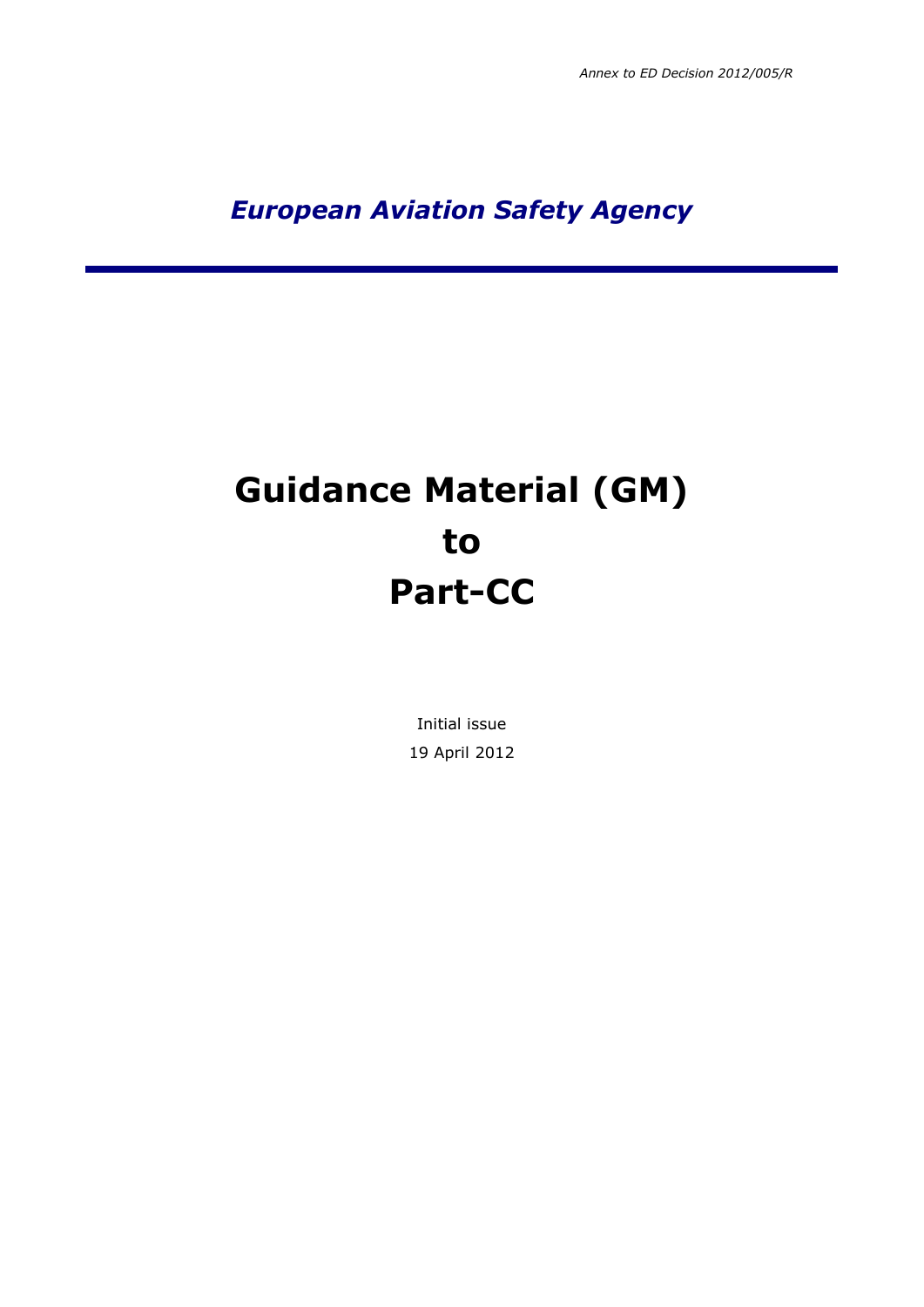*European Aviation Safety Agency*

## **Guidance Material (GM) to Part-CC**

Initial issue 19 April 2012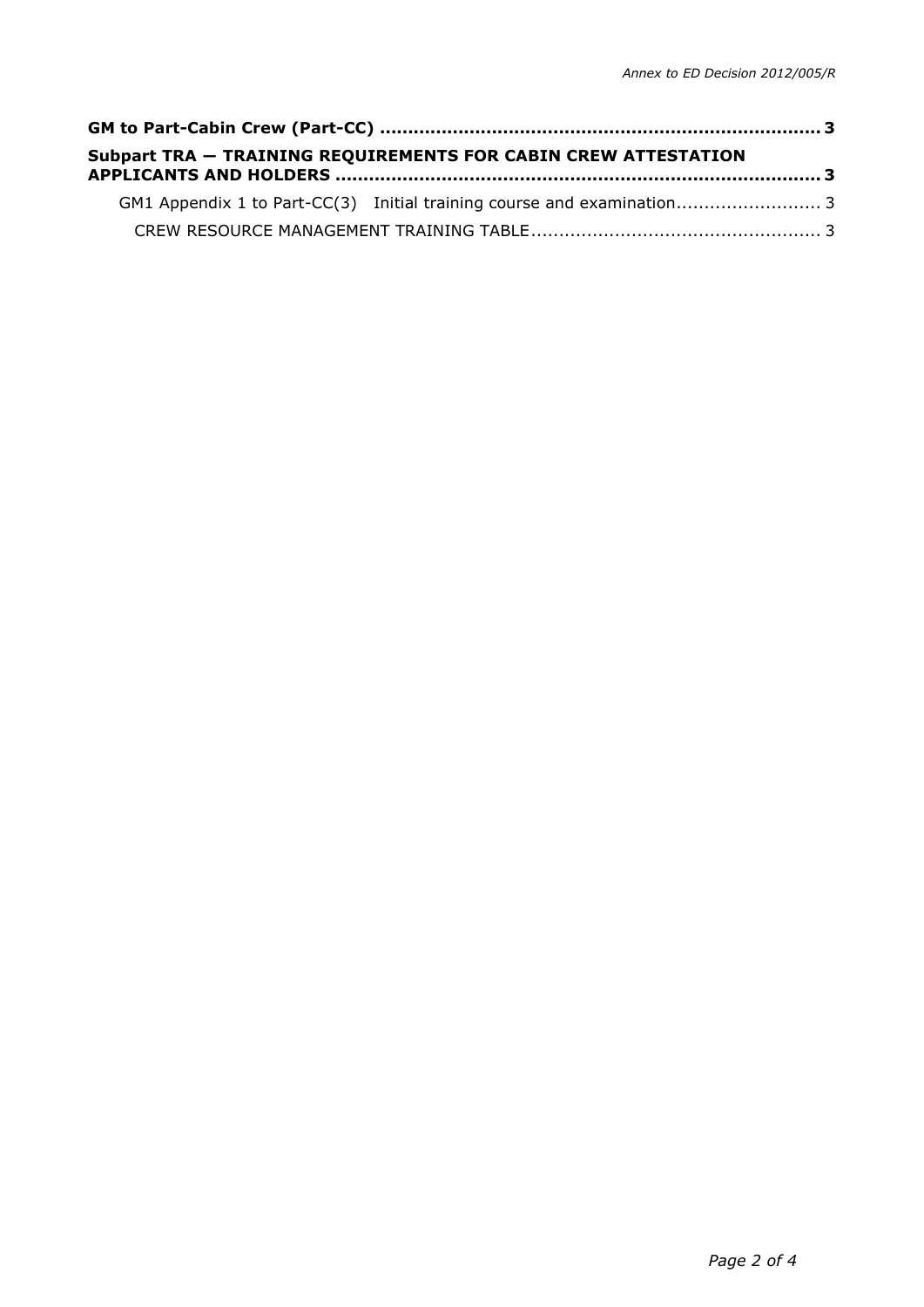|  | <b>Subpart TRA - TRAINING REQUIREMENTS FOR CABIN CREW ATTESTATION</b> |  |
|--|-----------------------------------------------------------------------|--|
|  |                                                                       |  |
|  |                                                                       |  |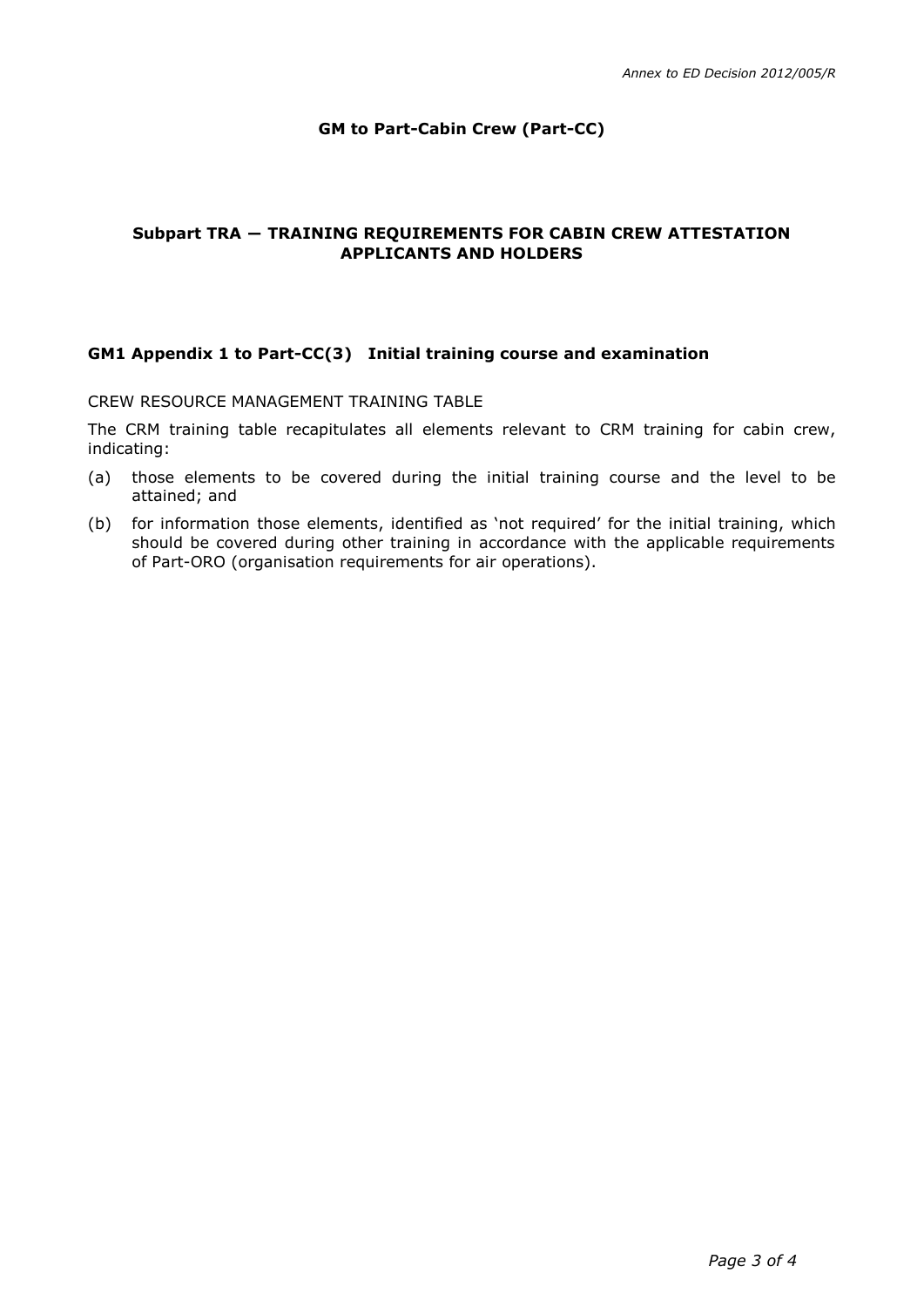## **GM to Part-Cabin Crew (Part-CC)**

## <span id="page-2-1"></span><span id="page-2-0"></span>**Subpart TRA ― TRAINING REQUIREMENTS FOR CABIN CREW ATTESTATION APPLICANTS AND HOLDERS**

## <span id="page-2-3"></span><span id="page-2-2"></span>**GM1 Appendix 1 to Part-CC(3) Initial training course and examination**

CREW RESOURCE MANAGEMENT TRAINING TABLE

The CRM training table recapitulates all elements relevant to CRM training for cabin crew, indicating:

- (a) those elements to be covered during the initial training course and the level to be attained; and
- (b) for information those elements, identified as 'not required' for the initial training, which should be covered during other training in accordance with the applicable requirements of Part-ORO (organisation requirements for air operations).